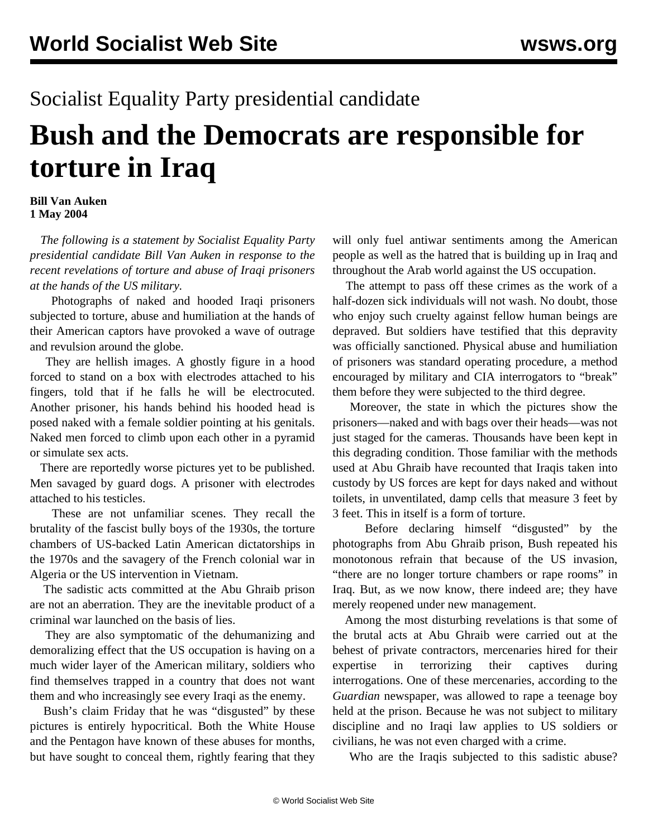## Socialist Equality Party presidential candidate

## **Bush and the Democrats are responsible for torture in Iraq**

## **Bill Van Auken 1 May 2004**

 *The following is a statement by Socialist Equality Party presidential candidate Bill Van Auken in response to the recent revelations of torture and abuse of Iraqi prisoners at the hands of the US military.*

 Photographs of naked and hooded Iraqi prisoners subjected to torture, abuse and humiliation at the hands of their American captors have provoked a wave of outrage and revulsion around the globe.

 They are hellish images. A ghostly figure in a hood forced to stand on a box with electrodes attached to his fingers, told that if he falls he will be electrocuted. Another prisoner, his hands behind his hooded head is posed naked with a female soldier pointing at his genitals. Naked men forced to climb upon each other in a pyramid or simulate sex acts.

 There are reportedly worse pictures yet to be published. Men savaged by guard dogs. A prisoner with electrodes attached to his testicles.

 These are not unfamiliar scenes. They recall the brutality of the fascist bully boys of the 1930s, the torture chambers of US-backed Latin American dictatorships in the 1970s and the savagery of the French colonial war in Algeria or the US intervention in Vietnam.

 The sadistic acts committed at the Abu Ghraib prison are not an aberration. They are the inevitable product of a criminal war launched on the basis of lies.

 They are also symptomatic of the dehumanizing and demoralizing effect that the US occupation is having on a much wider layer of the American military, soldiers who find themselves trapped in a country that does not want them and who increasingly see every Iraqi as the enemy.

 Bush's claim Friday that he was "disgusted" by these pictures is entirely hypocritical. Both the White House and the Pentagon have known of these abuses for months, but have sought to conceal them, rightly fearing that they will only fuel antiwar sentiments among the American people as well as the hatred that is building up in Iraq and throughout the Arab world against the US occupation.

 The attempt to pass off these crimes as the work of a half-dozen sick individuals will not wash. No doubt, those who enjoy such cruelty against fellow human beings are depraved. But soldiers have testified that this depravity was officially sanctioned. Physical abuse and humiliation of prisoners was standard operating procedure, a method encouraged by military and CIA interrogators to "break" them before they were subjected to the third degree.

 Moreover, the state in which the pictures show the prisoners—naked and with bags over their heads—was not just staged for the cameras. Thousands have been kept in this degrading condition. Those familiar with the methods used at Abu Ghraib have recounted that Iraqis taken into custody by US forces are kept for days naked and without toilets, in unventilated, damp cells that measure 3 feet by 3 feet. This in itself is a form of torture.

 Before declaring himself "disgusted" by the photographs from Abu Ghraib prison, Bush repeated his monotonous refrain that because of the US invasion, "there are no longer torture chambers or rape rooms" in Iraq. But, as we now know, there indeed are; they have merely reopened under new management.

 Among the most disturbing revelations is that some of the brutal acts at Abu Ghraib were carried out at the behest of private contractors, mercenaries hired for their expertise in terrorizing their captives during interrogations. One of these mercenaries, according to the *Guardian* newspaper, was allowed to rape a teenage boy held at the prison. Because he was not subject to military discipline and no Iraqi law applies to US soldiers or civilians, he was not even charged with a crime.

Who are the Iraqis subjected to this sadistic abuse?